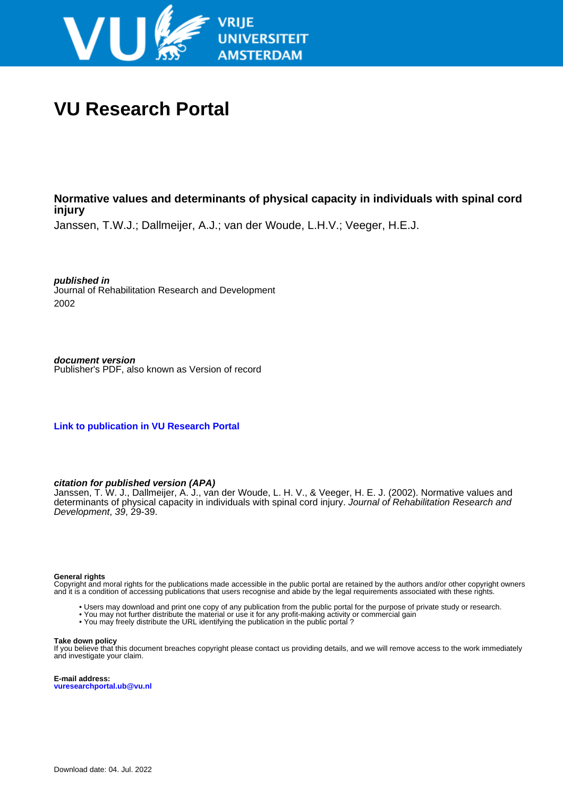

# **VU Research Portal**

## **Normative values and determinants of physical capacity in individuals with spinal cord injury**

Janssen, T.W.J.; Dallmeijer, A.J.; van der Woude, L.H.V.; Veeger, H.E.J.

**published in** Journal of Rehabilitation Research and Development 2002

**document version** Publisher's PDF, also known as Version of record

**[Link to publication in VU Research Portal](https://research.vu.nl/en/publications/b7dc55fc-3ebd-4b02-8f2d-1257bdb9835b)**

### **citation for published version (APA)**

Janssen, T. W. J., Dallmeijer, A. J., van der Woude, L. H. V., & Veeger, H. E. J. (2002). Normative values and determinants of physical capacity in individuals with spinal cord injury. Journal of Rehabilitation Research and Development, 39, 29-39.

#### **General rights**

Copyright and moral rights for the publications made accessible in the public portal are retained by the authors and/or other copyright owners and it is a condition of accessing publications that users recognise and abide by the legal requirements associated with these rights.

- Users may download and print one copy of any publication from the public portal for the purpose of private study or research.
- You may not further distribute the material or use it for any profit-making activity or commercial gain
- You may freely distribute the URL identifying the publication in the public portal ?

#### **Take down policy**

If you believe that this document breaches copyright please contact us providing details, and we will remove access to the work immediately and investigate your claim.

**E-mail address: vuresearchportal.ub@vu.nl**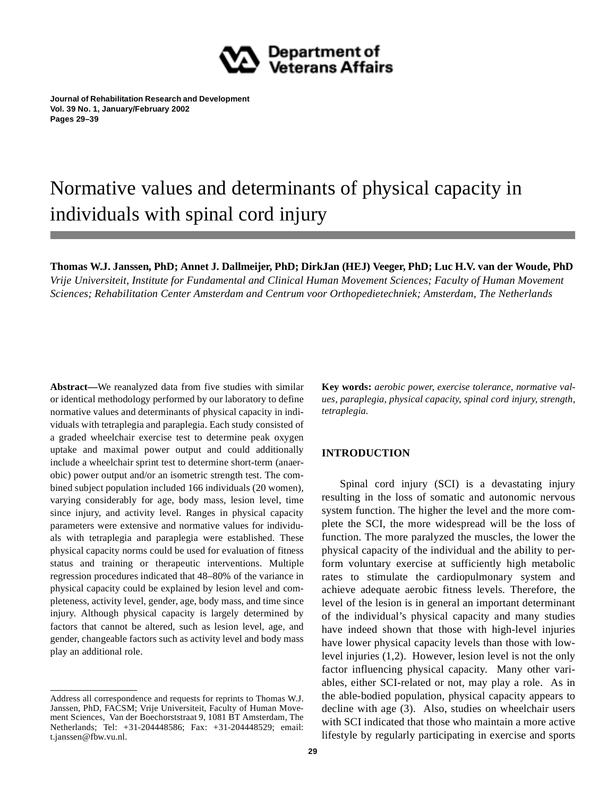

**Journal of Rehabilitation Research and Development Vol. 39 No. 1, January/February 2002 Pages 29–39**

# Normative values and determinants of physical capacity in individuals with spinal cord injury

**Thomas W.J. Janssen, PhD; Annet J. Dallmeijer, PhD; DirkJan (HEJ) Veeger, PhD; Luc H.V. van der Woude, PhD** *Vrije Universiteit, Institute for Fundamental and Clinical Human Movement Sciences; Faculty of Human Movement Sciences; Rehabilitation Center Amsterdam and Centrum voor Orthopedietechniek; Amsterdam, The Netherlands*

**Abstract—**We reanalyzed data from five studies with similar or identical methodology performed by our laboratory to define normative values and determinants of physical capacity in individuals with tetraplegia and paraplegia. Each study consisted of a graded wheelchair exercise test to determine peak oxygen uptake and maximal power output and could additionally include a wheelchair sprint test to determine short-term (anaerobic) power output and/or an isometric strength test. The combined subject population included 166 individuals (20 women), varying considerably for age, body mass, lesion level, time since injury, and activity level. Ranges in physical capacity parameters were extensive and normative values for individuals with tetraplegia and paraplegia were established. These physical capacity norms could be used for evaluation of fitness status and training or therapeutic interventions. Multiple regression procedures indicated that 48–80% of the variance in physical capacity could be explained by lesion level and completeness, activity level, gender, age, body mass, and time since injury. Although physical capacity is largely determined by factors that cannot be altered, such as lesion level, age, and gender, changeable factors such as activity level and body mass play an additional role.

**Key words:** *aerobic power, exercise tolerance, normative values, paraplegia, physical capacity, spinal cord injury, strength, tetraplegia.*

## **INTRODUCTION**

Spinal cord injury (SCI) is a devastating injury resulting in the loss of somatic and autonomic nervous system function. The higher the level and the more complete the SCI, the more widespread will be the loss of function. The more paralyzed the muscles, the lower the physical capacity of the individual and the ability to perform voluntary exercise at sufficiently high metabolic rates to stimulate the cardiopulmonary system and achieve adequate aerobic fitness levels. Therefore, the level of the lesion is in general an important determinant of the individual's physical capacity and many studies have indeed shown that those with high-level injuries have lower physical capacity levels than those with lowlevel injuries (1,2). However, lesion level is not the only factor influencing physical capacity. Many other variables, either SCI-related or not, may play a role. As in the able-bodied population, physical capacity appears to decline with age (3). Also, studies on wheelchair users with SCI indicated that those who maintain a more active lifestyle by regularly participating in exercise and sports

Address all correspondence and requests for reprints to Thomas W.J. Janssen, PhD, FACSM; Vrije Universiteit, Faculty of Human Movement Sciences, Van der Boechorststraat 9, 1081 BT Amsterdam, The Netherlands; Tel: +31-204448586; Fax: +31-204448529; email: t.janssen@fbw.vu.nl.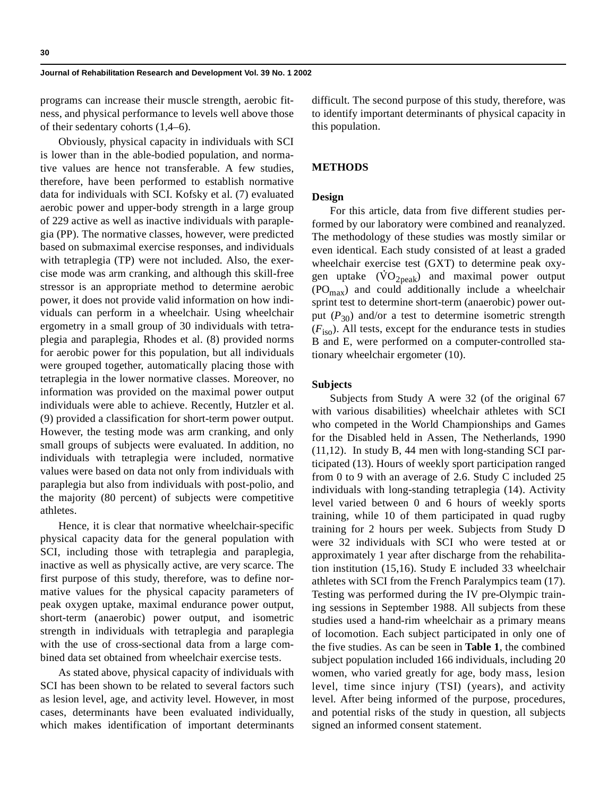programs can increase their muscle strength, aerobic fitness, and physical performance to levels well above those of their sedentary cohorts (1,4–6).

Obviously, physical capacity in individuals with SCI is lower than in the able-bodied population, and normative values are hence not transferable. A few studies, therefore, have been performed to establish normative data for individuals with SCI. Kofsky et al. (7) evaluated aerobic power and upper-body strength in a large group of 229 active as well as inactive individuals with paraplegia (PP). The normative classes, however, were predicted based on submaximal exercise responses, and individuals with tetraplegia (TP) were not included. Also, the exercise mode was arm cranking, and although this skill-free stressor is an appropriate method to determine aerobic power, it does not provide valid information on how individuals can perform in a wheelchair. Using wheelchair ergometry in a small group of 30 individuals with tetraplegia and paraplegia, Rhodes et al. (8) provided norms for aerobic power for this population, but all individuals were grouped together, automatically placing those with tetraplegia in the lower normative classes. Moreover, no information was provided on the maximal power output individuals were able to achieve. Recently, Hutzler et al. (9) provided a classification for short-term power output. However, the testing mode was arm cranking, and only small groups of subjects were evaluated. In addition, no individuals with tetraplegia were included, normative values were based on data not only from individuals with paraplegia but also from individuals with post-polio, and the majority (80 percent) of subjects were competitive athletes.

Hence, it is clear that normative wheelchair-specific physical capacity data for the general population with SCI, including those with tetraplegia and paraplegia, inactive as well as physically active, are very scarce. The first purpose of this study, therefore, was to define normative values for the physical capacity parameters of peak oxygen uptake, maximal endurance power output, short-term (anaerobic) power output, and isometric strength in individuals with tetraplegia and paraplegia with the use of cross-sectional data from a large combined data set obtained from wheelchair exercise tests.

As stated above, physical capacity of individuals with SCI has been shown to be related to several factors such as lesion level, age, and activity level. However, in most cases, determinants have been evaluated individually, which makes identification of important determinants difficult. The second purpose of this study, therefore, was to identify important determinants of physical capacity in this population.

## **METHODS**

## **Design**

For this article, data from five different studies performed by our laboratory were combined and reanalyzed. The methodology of these studies was mostly similar or even identical. Each study consisted of at least a graded wheelchair exercise test (GXT) to determine peak oxygen uptake  $(\dot{V}O_{2\text{peak}})$  and maximal power output  $(PO<sub>max</sub>)$  and could additionally include a wheelchair sprint test to determine short-term (anaerobic) power output ( $P_{30}$ ) and/or a test to determine isometric strength  $(F<sub>iso</sub>)$ . All tests, except for the endurance tests in studies B and E, were performed on a computer-controlled stationary wheelchair ergometer (10).

#### **Subjects**

Subjects from Study A were 32 (of the original 67 with various disabilities) wheelchair athletes with SCI who competed in the World Championships and Games for the Disabled held in Assen, The Netherlands, 1990 (11,12). In study B, 44 men with long-standing SCI participated (13). Hours of weekly sport participation ranged from 0 to 9 with an average of 2.6. Study C included 25 individuals with long-standing tetraplegia (14). Activity level varied between 0 and 6 hours of weekly sports training, while 10 of them participated in quad rugby training for 2 hours per week. Subjects from Study D were 32 individuals with SCI who were tested at or approximately 1 year after discharge from the rehabilitation institution (15,16). Study E included 33 wheelchair athletes with SCI from the French Paralympics team (17). Testing was performed during the IV pre-Olympic training sessions in September 1988. All subjects from these studies used a hand-rim wheelchair as a primary means of locomotion. Each subject participated in only one of the five studies. As can be seen in **Table 1**, the combined subject population included 166 individuals, including 20 women, who varied greatly for age, body mass, lesion level, time since injury (TSI) (years), and activity level. After being informed of the purpose, procedures, and potential risks of the study in question, all subjects signed an informed consent statement.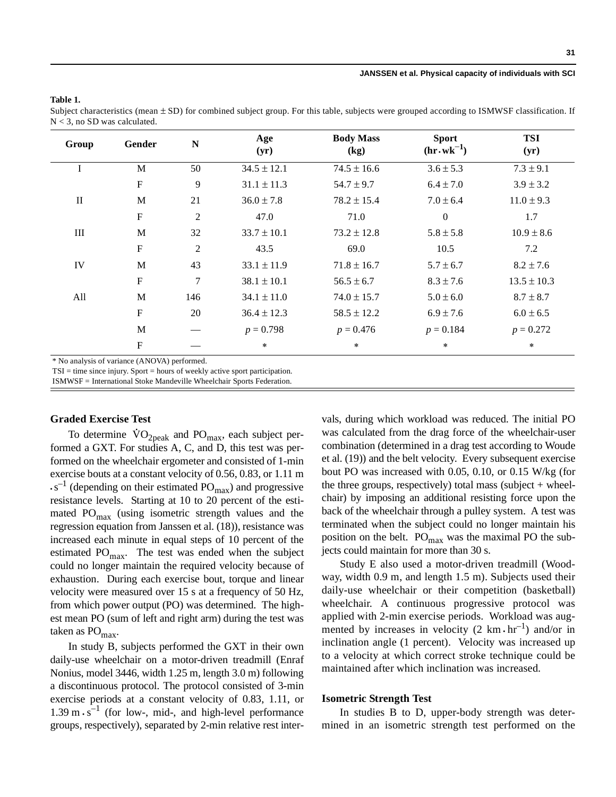#### **Table 1.**

Subject characteristics (mean  $\pm$  SD) for combined subject group. For this table, subjects were grouped according to ISMWSF classification. If N < 3, no SD was calculated.

| Group        | Gender                    | N   | Age<br>(yr)     | <b>Body Mass</b><br>(kg) | <b>Sport</b><br>$(hr.wk^{-1})$ | <b>TSI</b><br>(yr) |
|--------------|---------------------------|-----|-----------------|--------------------------|--------------------------------|--------------------|
| I            | M                         | 50  | $34.5 \pm 12.1$ | $74.5 \pm 16.6$          | $3.6 \pm 5.3$                  | $7.3 \pm 9.1$      |
|              | $\mathbf{F}$              | 9   | $31.1 \pm 11.3$ | $54.7 \pm 9.7$           | $6.4 \pm 7.0$                  | $3.9 \pm 3.2$      |
| $\mathbf{I}$ | M                         | 21  | $36.0 \pm 7.8$  | $78.2 \pm 15.4$          | $7.0 \pm 6.4$                  | $11.0 \pm 9.3$     |
|              | $\boldsymbol{\mathrm{F}}$ | 2   | 47.0            | 71.0                     | $\boldsymbol{0}$               | 1.7                |
| III          | M                         | 32  | $33.7 \pm 10.1$ | $73.2 \pm 12.8$          | $5.8 \pm 5.8$                  | $10.9 \pm 8.6$     |
|              | $\mathbf{F}$              | 2   | 43.5            | 69.0                     | 10.5                           | 7.2                |
| IV           | M                         | 43  | $33.1 \pm 11.9$ | $71.8 \pm 16.7$          | $5.7 \pm 6.7$                  | $8.2 \pm 7.6$      |
|              | $\mathbf F$               | 7   | $38.1 \pm 10.1$ | $56.5 \pm 6.7$           | $8.3 \pm 7.6$                  | $13.5 \pm 10.3$    |
| All          | M                         | 146 | $34.1 \pm 11.0$ | $74.0 \pm 15.7$          | $5.0 \pm 6.0$                  | $8.7 \pm 8.7$      |
|              | $\mathbf{F}$              | 20  | $36.4 \pm 12.3$ | $58.5 \pm 12.2$          | $6.9 \pm 7.6$                  | $6.0 \pm 6.5$      |
|              | M                         |     | $p = 0.798$     | $p = 0.476$              | $p = 0.184$                    | $p = 0.272$        |
|              | $\mathbf{F}$              |     | $\ast$          | $\star$                  | $\ast$                         | $\star$            |

TSI = time since injury. Sport = hours of weekly active sport participation.

ISMWSF = International Stoke Mandeville Wheelchair Sports Federation.

#### **Graded Exercise Test**

To determine  $\text{VO}_{2\text{peak}}$  and  $\text{PO}_{\text{max}}$ , each subject performed a GXT. For studies A, C, and D, this test was performed on the wheelchair ergometer and consisted of 1-min exercise bouts at a constant velocity of 0.56, 0.83, or 1.11 m  $\cdot$  s<sup>-1</sup> (depending on their estimated PO<sub>max</sub>) and progressive resistance levels. Starting at 10 to 20 percent of the estimated  $PO<sub>max</sub>$  (using isometric strength values and the regression equation from Janssen et al. (18)), resistance was increased each minute in equal steps of 10 percent of the estimated  $PO<sub>max</sub>$ . The test was ended when the subject could no longer maintain the required velocity because of exhaustion. During each exercise bout, torque and linear velocity were measured over 15 s at a frequency of 50 Hz, from which power output (PO) was determined. The highest mean PO (sum of left and right arm) during the test was taken as  $PO<sub>max</sub>$ .

In study B, subjects performed the GXT in their own daily-use wheelchair on a motor-driven treadmill (Enraf Nonius, model 3446, width 1.25 m, length 3.0 m) following a discontinuous protocol. The protocol consisted of 3-min exercise periods at a constant velocity of 0.83, 1.11, or  $1.39 \text{ m} \cdot \text{s}^{-1}$  (for low-, mid-, and high-level performance groups, respectively), separated by 2-min relative rest intervals, during which workload was reduced. The initial PO was calculated from the drag force of the wheelchair-user combination (determined in a drag test according to Woude et al. (19)) and the belt velocity. Every subsequent exercise bout PO was increased with 0.05, 0.10, or 0.15 W/kg (for the three groups, respectively) total mass (subject  $+$  wheelchair) by imposing an additional resisting force upon the back of the wheelchair through a pulley system. A test was terminated when the subject could no longer maintain his position on the belt.  $PO<sub>max</sub>$  was the maximal PO the subjects could maintain for more than 30 s.

Study E also used a motor-driven treadmill (Woodway, width 0.9 m, and length 1.5 m). Subjects used their daily-use wheelchair or their competition (basketball) wheelchair. A continuous progressive protocol was applied with 2-min exercise periods. Workload was augmented by increases in velocity  $(2 \text{ km} \cdot \text{hr}^{-1})$  and/or in inclination angle (1 percent). Velocity was increased up to a velocity at which correct stroke technique could be maintained after which inclination was increased.

#### **Isometric Strength Test**

In studies B to D, upper-body strength was determined in an isometric strength test performed on the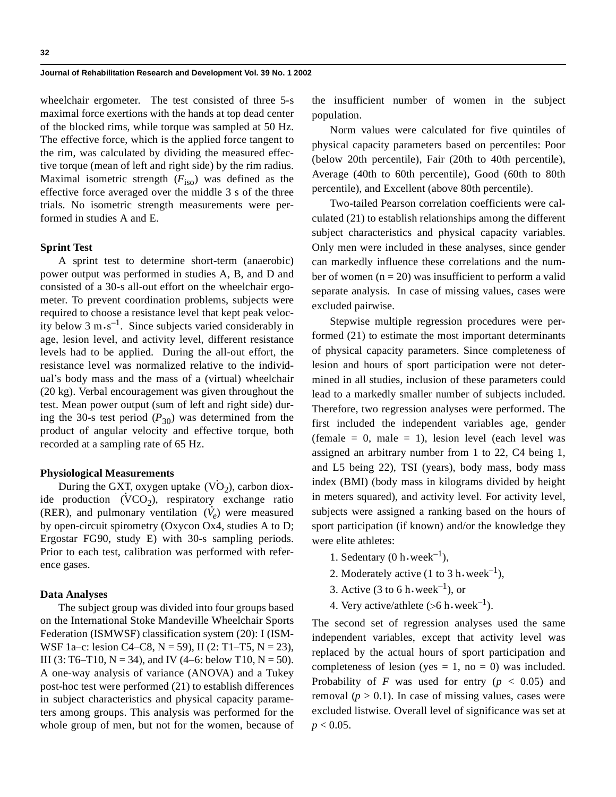wheelchair ergometer. The test consisted of three 5-s maximal force exertions with the hands at top dead center of the blocked rims, while torque was sampled at 50 Hz. The effective force, which is the applied force tangent to the rim, was calculated by dividing the measured effective torque (mean of left and right side) by the rim radius. Maximal isometric strength  $(F_{\text{iso}})$  was defined as the effective force averaged over the middle 3 s of the three trials. No isometric strength measurements were performed in studies A and E.

## **Sprint Test**

A sprint test to determine short-term (anaerobic) power output was performed in studies A, B, and D and consisted of a 30-s all-out effort on the wheelchair ergometer. To prevent coordination problems, subjects were required to choose a resistance level that kept peak velocity below 3  $\text{m}\cdot\text{s}^{-1}$ . Since subjects varied considerably in age, lesion level, and activity level, different resistance levels had to be applied. During the all-out effort, the resistance level was normalized relative to the individual's body mass and the mass of a (virtual) wheelchair (20 kg). Verbal encouragement was given throughout the test. Mean power output (sum of left and right side) during the 30-s test period  $(P_{30})$  was determined from the product of angular velocity and effective torque, both recorded at a sampling rate of 65 Hz.

#### **Physiological Measurements**

During the GXT, oxygen uptake  $(\text{VO}_2)$ , carbon dioxide production  $(VCO<sub>2</sub>)$ , respiratory exchange ratio (RER), and pulmonary ventilation  $(\dot{V}_e)$  were measured by open-circuit spirometry (Oxycon Ox4, studies A to D; Ergostar FG90, study E) with 30-s sampling periods. Prior to each test, calibration was performed with reference gases.

#### **Data Analyses**

The subject group was divided into four groups based on the International Stoke Mandeville Wheelchair Sports Federation (ISMWSF) classification system (20): I (ISM-WSF 1a–c: lesion C4–C8, N = 59), II (2: T1–T5, N = 23), III (3: T6–T10, N = 34), and IV (4–6: below T10, N = 50). A one-way analysis of variance (ANOVA) and a Tukey post-hoc test were performed (21) to establish differences in subject characteristics and physical capacity parameters among groups. This analysis was performed for the whole group of men, but not for the women, because of the insufficient number of women in the subject population.

Norm values were calculated for five quintiles of physical capacity parameters based on percentiles: Poor (below 20th percentile), Fair (20th to 40th percentile), Average (40th to 60th percentile), Good (60th to 80th percentile), and Excellent (above 80th percentile).

Two-tailed Pearson correlation coefficients were calculated (21) to establish relationships among the different subject characteristics and physical capacity variables. Only men were included in these analyses, since gender can markedly influence these correlations and the number of women  $(n = 20)$  was insufficient to perform a valid separate analysis. In case of missing values, cases were excluded pairwise.

Stepwise multiple regression procedures were performed (21) to estimate the most important determinants of physical capacity parameters. Since completeness of lesion and hours of sport participation were not determined in all studies, inclusion of these parameters could lead to a markedly smaller number of subjects included. Therefore, two regression analyses were performed. The first included the independent variables age, gender (female  $= 0$ , male  $= 1$ ), lesion level (each level was assigned an arbitrary number from 1 to 22, C4 being 1, and L5 being 22), TSI (years), body mass, body mass index (BMI) (body mass in kilograms divided by height in meters squared), and activity level. For activity level, subjects were assigned a ranking based on the hours of sport participation (if known) and/or the knowledge they were elite athletes:

- 1. Sedentary  $(0 \text{ h-week}^{-1})$ ,
- 2. Moderately active (1 to 3 h $\cdot$  week<sup>-1</sup>),
- 3. Active (3 to 6 h $\cdot$  week<sup>-1</sup>), or
- 4. Very active/athlete (>6 h $\cdot$ week<sup>-1</sup>).

The second set of regression analyses used the same independent variables, except that activity level was replaced by the actual hours of sport participation and completeness of lesion (yes = 1, no = 0) was included. Probability of *F* was used for entry ( $p < 0.05$ ) and removal  $(p > 0.1)$ . In case of missing values, cases were excluded listwise. Overall level of significance was set at  $p < 0.05$ .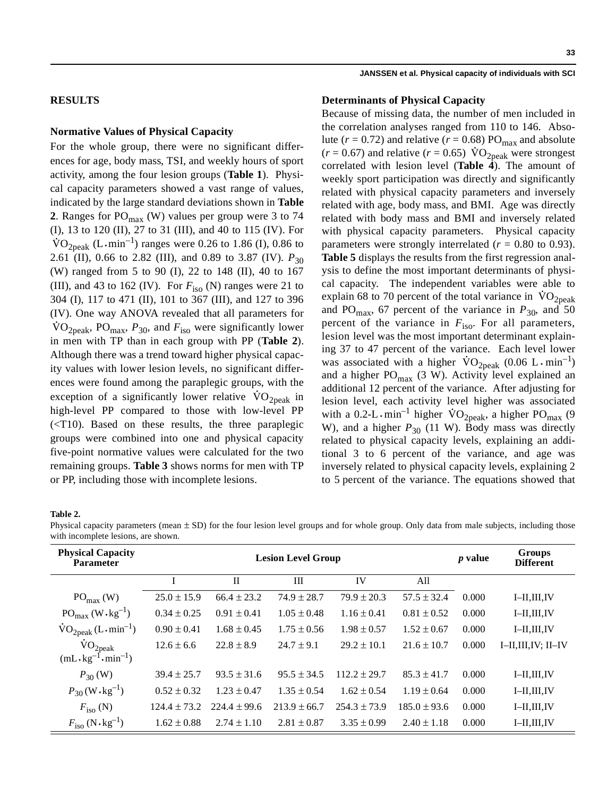## **RESULTS**

## **Normative Values of Physical Capacity**

For the whole group, there were no significant differences for age, body mass, TSI, and weekly hours of sport activity, among the four lesion groups (**Table 1**). Physical capacity parameters showed a vast range of values, indicated by the large standard deviations shown in **Table 2**. Ranges for  $PO<sub>max</sub>$  (W) values per group were 3 to 74 (I), 13 to 120 (II), 27 to 31 (III), and 40 to 115 (IV). For  $\text{VO}_{2 \text{peak}}$  (L $\cdot$ min<sup>-1</sup>) ranges were 0.26 to 1.86 (I), 0.86 to 2.61 (II), 0.66 to 2.82 (III), and 0.89 to 3.87 (IV).  $P_{30}$ (W) ranged from 5 to 90 (I), 22 to 148 (II), 40 to 167 (III), and 43 to 162 (IV). For  $F_{\text{iso}}$  (N) ranges were 21 to 304 (I), 117 to 471 (II), 101 to 367 (III), and 127 to 396 (IV). One way ANOVA revealed that all parameters for  $\text{VO}_{\text{2peak}}$ , PO<sub>max</sub>,  $P_{30}$ , and  $F_{\text{iso}}$  were significantly lower in men with TP than in each group with PP (**Table 2**). Although there was a trend toward higher physical capacity values with lower lesion levels, no significant differences were found among the paraplegic groups, with the exception of a significantly lower relative  $\rm \dot{VO}_{2peak}$  in high-level PP compared to those with low-level PP  $(**T10**)$ . Based on these results, the three paraplegic groups were combined into one and physical capacity five-point normative values were calculated for the two remaining groups. **Table 3** shows norms for men with TP or PP, including those with incomplete lesions.

#### **JANSSEN et al. Physical capacity of individuals with SCI**

#### **Determinants of Physical Capacity**

Because of missing data, the number of men included in the correlation analyses ranged from 110 to 146. Absolute ( $r = 0.72$ ) and relative ( $r = 0.68$ ) PO<sub>max</sub> and absolute  $(r = 0.67)$  and relative  $(r = 0.65)$   $\text{VO}_{2\text{peak}}$  were strongest correlated with lesion level (**Table 4**). The amount of weekly sport participation was directly and significantly related with physical capacity parameters and inversely related with age, body mass, and BMI. Age was directly related with body mass and BMI and inversely related with physical capacity parameters. Physical capacity parameters were strongly interrelated  $(r = 0.80 \text{ to } 0.93)$ . **Table 5** displays the results from the first regression analysis to define the most important determinants of physical capacity. The independent variables were able to explain 68 to 70 percent of the total variance in  $\rm \dot{VO}_{2peak}$ and PO<sub>max</sub>, 67 percent of the variance in  $P_{30}$ , and 50 percent of the variance in  $F_{\text{iso}}$ . For all parameters, lesion level was the most important determinant explaining 37 to 47 percent of the variance. Each level lower was associated with a higher  $\text{VO}_{2 \text{peak}}$  (0.06 L  $\cdot$  min<sup>-1</sup>) and a higher  $PO<sub>max</sub>$  (3 W). Activity level explained an additional 12 percent of the variance. After adjusting for lesion level, each activity level higher was associated with a 0.2-L  $\cdot$  min<sup>-1</sup> higher  $\rm{VO}_{2peak}$ , a higher  $\rm{PO}_{max}$  (9 W), and a higher  $P_{30}$  (11 W). Body mass was directly related to physical capacity levels, explaining an additional 3 to 6 percent of the variance, and age was inversely related to physical capacity levels, explaining 2 to 5 percent of the variance. The equations showed that

#### **Table 2.**

Physical capacity parameters (mean  $\pm$  SD) for the four lesion level groups and for whole group. Only data from male subjects, including those with incomplete lesions, are shown.

| <b>Physical Capacity</b><br><b>Parameter</b>              |                  | <b>Lesion Level Group</b> | <i>p</i> value   | Groups<br><b>Different</b> |                  |       |                    |
|-----------------------------------------------------------|------------------|---------------------------|------------------|----------------------------|------------------|-------|--------------------|
|                                                           |                  | $\rm II$                  | III              | IV                         | All              |       |                    |
| $PO_{max}$ (W)                                            | $25.0 \pm 15.9$  | $66.4 \pm 23.2$           | $74.9 \pm 28.7$  | $79.9 \pm 20.3$            | $57.5 \pm 32.4$  | 0.000 | $I$ -II,III,IV     |
| $PO_{max} (W \cdot kg^{-1})$                              | $0.34 \pm 0.25$  | $0.91 \pm 0.41$           | $1.05 \pm 0.48$  | $1.16 + 0.41$              | $0.81 \pm 0.52$  | 0.000 | $I$ -II,III,IV     |
| $\text{VO}_{2\text{peak}}$ (L $\cdot$ min <sup>-1</sup> ) | $0.90 \pm 0.41$  | $1.68 \pm 0.45$           | $1.75 \pm 0.56$  | $1.98 \pm 0.57$            | $1.52 \pm 0.67$  | 0.000 | $I$ -II,III,IV     |
| $\rm \dot{V}O_{2peak}$                                    | $12.6 \pm 6.6$   | $22.8 \pm 8.9$            | $24.7 \pm 9.1$   | $29.2 \pm 10.1$            | $21.6 \pm 10.7$  | 0.000 | I–II,III,IV; II–IV |
| $(mL \cdot kg^{-1} \cdot min^{-1})$                       |                  |                           |                  |                            |                  |       |                    |
| $P_{30}$ (W)                                              | $39.4 \pm 25.7$  | $93.5 \pm 31.6$           | $95.5 \pm 34.5$  | $112.2 \pm 29.7$           | $85.3 \pm 41.7$  | 0.000 | $I$ -II,III,IV     |
| $P_{30}$ (W $\cdot$ kg <sup>-1</sup> )                    | $0.52 \pm 0.32$  | $1.23 \pm 0.47$           | $1.35 \pm 0.54$  | $1.62 \pm 0.54$            | $1.19 \pm 0.64$  | 0.000 | $I$ -II,III,IV     |
| $F_{\rm iso}$ (N)                                         | $124.4 \pm 73.2$ | $224.4 \pm 99.6$          | $213.9 \pm 66.7$ | $254.3 \pm 73.9$           | $185.0 \pm 93.6$ | 0.000 | $I$ -II,III,IV     |
| $F_{\rm iso}$ (N $\cdot$ kg <sup>-1</sup> )               | $1.62 \pm 0.88$  | $2.74 \pm 1.10$           | $2.81 \pm 0.87$  | $3.35 \pm 0.99$            | $2.40 \pm 1.18$  | 0.000 | $I$ -II,III,IV     |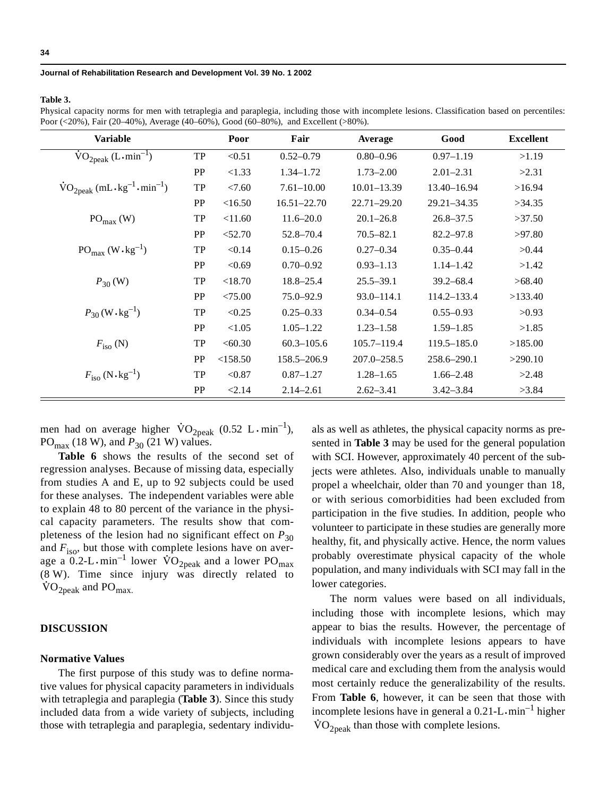#### **Table 3.**

Physical capacity norms for men with tetraplegia and paraplegia, including those with incomplete lesions. Classification based on percentiles: Poor (<20%), Fair (20–40%), Average (40–60%), Good (60–80%), and Excellent (>80%).

| <b>Variable</b>                                                                     |           | Poor     | Fair            | Average         | Good            | <b>Excellent</b> |
|-------------------------------------------------------------------------------------|-----------|----------|-----------------|-----------------|-----------------|------------------|
| $VO2peak (L-min-1)$                                                                 | TP        | < 0.51   | $0.52 - 0.79$   | $0.80 - 0.96$   | $0.97 - 1.19$   | >1.19            |
|                                                                                     | <b>PP</b> | <1.33    | $1.34 - 1.72$   | $1.73 - 2.00$   | $2.01 - 2.31$   | >2.31            |
| $\text{VO}_{2\text{peak}}$ (mL $\cdot$ kg <sup>-1</sup> $\cdot$ min <sup>-1</sup> ) | TP        | < 7.60   | $7.61 - 10.00$  | $10.01 - 13.39$ | 13.40-16.94     | >16.94           |
|                                                                                     | <b>PP</b> | <16.50   | $16.51 - 22.70$ | $22.71 - 29.20$ | $29.21 - 34.35$ | >34.35           |
| $PO_{max}$ (W)                                                                      | <b>TP</b> | < 11.60  | $11.6 - 20.0$   | $20.1 - 26.8$   | $26.8 - 37.5$   | >37.50           |
|                                                                                     | PP        | < 52.70  | 52.8-70.4       | $70.5 - 82.1$   | $82.2 - 97.8$   | >97.80           |
| $PO_{max} (W \cdot kg^{-1})$                                                        | TP        | < 0.14   | $0.15 - 0.26$   | $0.27 - 0.34$   | $0.35 - 0.44$   | >0.44            |
|                                                                                     | <b>PP</b> | < 0.69   | $0.70 - 0.92$   | $0.93 - 1.13$   | $1.14 - 1.42$   | >1.42            |
| $P_{30}$ (W)                                                                        | TP        | < 18.70  | $18.8 - 25.4$   | $25.5 - 39.1$   | $39.2 - 68.4$   | >68.40           |
|                                                                                     | <b>PP</b> | < 75.00  | $75.0 - 92.9$   | $93.0 - 114.1$  | $114.2 - 133.4$ | >133.40          |
| $P_{30}$ (W $\cdot$ kg <sup>-1</sup> )                                              | TP        | < 0.25   | $0.25 - 0.33$   | $0.34 - 0.54$   | $0.55 - 0.93$   | >0.93            |
|                                                                                     | PP        | < 1.05   | $1.05 - 1.22$   | $1.23 - 1.58$   | $1.59 - 1.85$   | >1.85            |
| $F_{\text{iso}}$ (N)                                                                | <b>TP</b> | <60.30   | $60.3 - 105.6$  | 105.7-119.4     | $119.5 - 185.0$ | >185.00          |
|                                                                                     | PP        | < 158.50 | 158.5-206.9     | $207.0 - 258.5$ | 258.6-290.1     | >290.10          |
| $F_{\rm iso}$ (N $\cdot$ kg <sup>-1</sup> )                                         | <b>TP</b> | < 0.87   | $0.87 - 1.27$   | $1.28 - 1.65$   | $1.66 - 2.48$   | >2.48            |
|                                                                                     | PP        | < 2.14   | $2.14 - 2.61$   | $2.62 - 3.41$   | $3.42 - 3.84$   | >3.84            |

men had on average higher  $\text{VO}_{2\text{peak}}$  (0.52 L  $\cdot$  min<sup>-1</sup>),  $PO_{\text{max}}$  (18 W), and  $P_{30}$  (21 W) values.

Table 6 shows the results of the second set of regression analyses. Because of missing data, especially from studies A and E, up to 92 subjects could be used for these analyses. The independent variables were able to explain 48 to 80 percent of the variance in the physical capacity parameters. The results show that completeness of the lesion had no significant effect on  $P_{30}$ and  $F_{\text{iso}}$ , but those with complete lesions have on average a  $0.2$ -L·min<sup>-1</sup> lower  $\dot{VO}_{2peak}$  and a lower PO<sub>max</sub> (8 W). Time since injury was directly related to  $\rm \dot{VO}_{2peak}$  and  $\rm PO_{max.}$ 

## **DISCUSSION**

## **Normative Values**

The first purpose of this study was to define normative values for physical capacity parameters in individuals with tetraplegia and paraplegia (**Table 3**). Since this study included data from a wide variety of subjects, including those with tetraplegia and paraplegia, sedentary individuals as well as athletes, the physical capacity norms as presented in **Table 3** may be used for the general population with SCI. However, approximately 40 percent of the subjects were athletes. Also, individuals unable to manually propel a wheelchair, older than 70 and younger than 18, or with serious comorbidities had been excluded from participation in the five studies. In addition, people who volunteer to participate in these studies are generally more healthy, fit, and physically active. Hence, the norm values probably overestimate physical capacity of the whole population, and many individuals with SCI may fall in the lower categories.

The norm values were based on all individuals, including those with incomplete lesions, which may appear to bias the results. However, the percentage of individuals with incomplete lesions appears to have grown considerably over the years as a result of improved medical care and excluding them from the analysis would most certainly reduce the generalizability of the results. From **Table 6**, however, it can be seen that those with incomplete lesions have in general a  $0.21$ -L $\cdot$ min<sup>-1</sup> higher  $\rm \dot{VO}_{2peak}$  than those with complete lesions.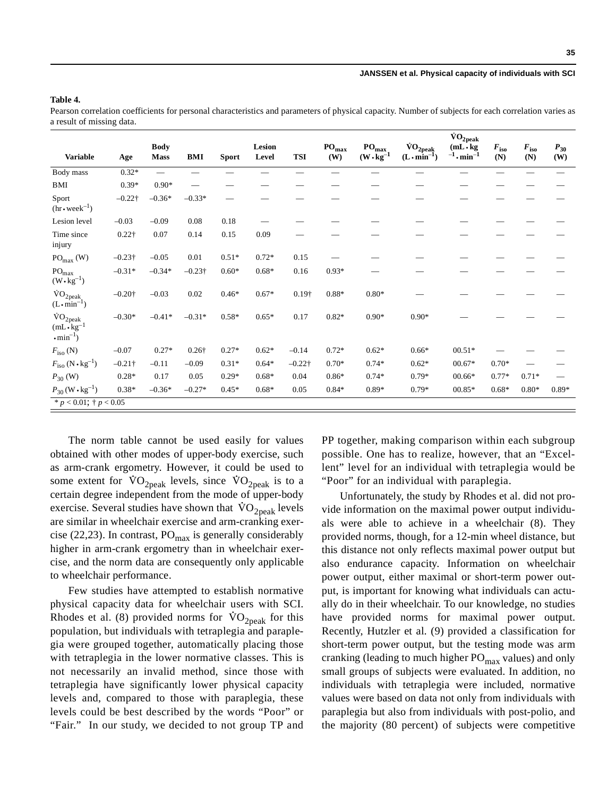#### **Table 4.**

Pearson correlation coefficients for personal characteristics and parameters of physical capacity. Number of subjects for each correlation varies as a result of missing data.

|                                                                               |                |                            |                |              |                 |               |                             |                                             |                                                | $\rm\ddot{V}O_{2peak}$                   |                      |                                        |                 |
|-------------------------------------------------------------------------------|----------------|----------------------------|----------------|--------------|-----------------|---------------|-----------------------------|---------------------------------------------|------------------------------------------------|------------------------------------------|----------------------|----------------------------------------|-----------------|
| <b>Variable</b>                                                               | Age            | <b>Body</b><br><b>Mass</b> | BMI            | <b>Sport</b> | Lesion<br>Level | <b>TSI</b>    | $\mathbf{PO}_{\max}$<br>(W) | $\mathbf{PO}_{\max}$<br>$(W \cdot kg^{-1})$ | $\rm \dot{VO}_{2peak}$<br>$(L \cdot min^{-1})$ | $(mL \cdot kg)$<br>$^{-1}$ . min $^{-1}$ | $F_{\rm iso}$<br>(N) | $\boldsymbol{F_{\mathrm{iso}}}$<br>(N) | $P_{30}$<br>(W) |
| Body mass                                                                     | $0.32*$        |                            |                |              |                 |               |                             |                                             |                                                |                                          |                      |                                        |                 |
| BMI                                                                           | $0.39*$        | $0.90*$                    |                |              |                 |               |                             |                                             |                                                |                                          |                      |                                        |                 |
| Sport<br>$(hr \cdot week^{-1})$                                               | $-0.22\dagger$ | $-0.36*$                   | $-0.33*$       |              |                 |               |                             |                                             |                                                |                                          |                      |                                        |                 |
| Lesion level                                                                  | $-0.03$        | $-0.09$                    | 0.08           | 0.18         |                 |               |                             |                                             |                                                |                                          |                      |                                        |                 |
| Time since<br>injury                                                          | $0.22\dagger$  | 0.07                       | 0.14           | 0.15         | 0.09            |               |                             |                                             |                                                |                                          |                      |                                        |                 |
| $\mathrm{PO}_{\max}$ (W)                                                      | $-0.23\dagger$ | $-0.05$                    | 0.01           | $0.51*$      | $0.72*$         | 0.15          |                             |                                             |                                                |                                          |                      |                                        |                 |
| $PO_{max}$<br>$(W \cdot kg^{-1})$                                             | $-0.31*$       | $-0.34*$                   | $-0.23\dagger$ | $0.60*$      | $0.68*$         | 0.16          | $0.93*$                     |                                             |                                                |                                          |                      |                                        |                 |
| $\rm \dot{VO}_{2peak}$<br>$(L \cdot \text{min}^{-1})$                         | $-0.20$ †      | $-0.03$                    | 0.02           | $0.46*$      | $0.67*$         | $0.19\dagger$ | 0.88*                       | $0.80*$                                     |                                                |                                          |                      |                                        |                 |
| $\rm \dot{VO}_{2peak}$<br>$(mL \cdot kg^{-1})$<br>$\cdot$ min <sup>-1</sup> ) | $-0.30*$       | $-0.41*$                   | $-0.31*$       | $0.58*$      | $0.65*$         | 0.17          | $0.82*$                     | $0.90*$                                     | $0.90*$                                        |                                          |                      |                                        |                 |
| $F_{\rm iso}$ (N)                                                             | $-0.07$        | $0.27*$                    | $0.26\dagger$  | $0.27*$      | $0.62*$         | $-0.14$       | $0.72*$                     | $0.62*$                                     | $0.66*$                                        | $00.51*$                                 |                      |                                        |                 |
| $F_{\rm iso}$ (N $\cdot$ kg <sup>-1</sup> )                                   | $-0.21\dagger$ | $-0.11$                    | $-0.09$        | $0.31*$      | $0.64*$         | $-0.22$ †     | $0.70*$                     | $0.74*$                                     | $0.62*$                                        | $00.67*$                                 | $0.70*$              |                                        |                 |
| $P_{30}$ (W)                                                                  | $0.28*$        | 0.17                       | 0.05           | $0.29*$      | $0.68*$         | 0.04          | $0.86*$                     | $0.74*$                                     | $0.79*$                                        | $00.66*$                                 | $0.77*$              | $0.71*$                                |                 |
| $P_{30}$ (W $\cdot$ kg <sup>-1</sup> )                                        | $0.38*$        | $-0.36*$                   | $-0.27*$       | $0.45*$      | $0.68*$         | 0.05          | $0.84*$                     | 0.89*                                       | $0.79*$                                        | $00.85*$                                 | $0.68*$              | $0.80*$                                | $0.89*$         |
| * $p < 0.01$ ; † $p < 0.05$                                                   |                |                            |                |              |                 |               |                             |                                             |                                                |                                          |                      |                                        |                 |

The norm table cannot be used easily for values obtained with other modes of upper-body exercise, such as arm-crank ergometry. However, it could be used to some extent for  $\text{VO}_{2\text{peak}}$  levels, since  $\text{VO}_{2\text{peak}}$  is to a certain degree independent from the mode of upper-body exercise. Several studies have shown that  $\rm \dot{VO}_{2peak}$  levels are similar in wheelchair exercise and arm-cranking exercise (22,23). In contrast,  $PO_{\text{max}}$  is generally considerably higher in arm-crank ergometry than in wheelchair exercise, and the norm data are consequently only applicable to wheelchair performance.

Few studies have attempted to establish normative physical capacity data for wheelchair users with SCI. Rhodes et al. (8) provided norms for  $\text{VO}_{2 \text{peak}}$  for this population, but individuals with tetraplegia and paraplegia were grouped together, automatically placing those with tetraplegia in the lower normative classes. This is not necessarily an invalid method, since those with tetraplegia have significantly lower physical capacity levels and, compared to those with paraplegia, these levels could be best described by the words "Poor" or "Fair." In our study, we decided to not group TP and PP together, making comparison within each subgroup possible. One has to realize, however, that an "Excellent" level for an individual with tetraplegia would be "Poor" for an individual with paraplegia.

Unfortunately, the study by Rhodes et al. did not provide information on the maximal power output individuals were able to achieve in a wheelchair (8). They provided norms, though, for a 12-min wheel distance, but this distance not only reflects maximal power output but also endurance capacity. Information on wheelchair power output, either maximal or short-term power output, is important for knowing what individuals can actually do in their wheelchair. To our knowledge, no studies have provided norms for maximal power output. Recently, Hutzler et al. (9) provided a classification for short-term power output, but the testing mode was arm cranking (leading to much higher  $PO<sub>max</sub>$  values) and only small groups of subjects were evaluated. In addition, no individuals with tetraplegia were included, normative values were based on data not only from individuals with paraplegia but also from individuals with post-polio, and the majority (80 percent) of subjects were competitive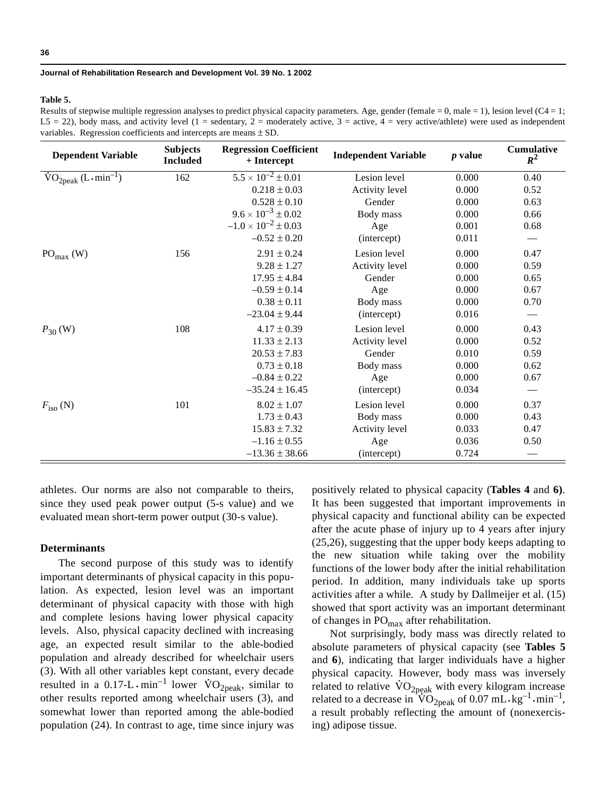#### **Table 5.**

Results of stepwise multiple regression analyses to predict physical capacity parameters. Age, gender (female = 0, male = 1), lesion level ( $C4 = 1$ ; L5 = 22), body mass, and activity level (1 = sedentary, 2 = moderately active, 3 = active, 4 = very active/athlete) were used as independent variables. Regression coefficients and intercepts are means  $\pm$  SD.

| <b>Dependent Variable</b>                                 | <b>Subjects</b><br><b>Included</b> | <b>Regression Coefficient</b><br>$+$ Intercept | <b>Independent Variable</b> | $p$ value | Cumulative<br>$R^2$      |
|-----------------------------------------------------------|------------------------------------|------------------------------------------------|-----------------------------|-----------|--------------------------|
| $\text{VO}_{2\text{peak}}$ (L $\cdot$ min <sup>-1</sup> ) | 162                                | $5.5 \times 10^{-2} \pm 0.01$                  | Lesion level                | 0.000     | 0.40                     |
|                                                           |                                    | $0.218 \pm 0.03$                               | Activity level              | 0.000     | 0.52                     |
|                                                           |                                    | $0.528 \pm 0.10$                               | Gender                      | 0.000     | 0.63                     |
|                                                           |                                    | $9.6 \times 10^{-3} \pm 0.02$                  | Body mass                   | 0.000     | 0.66                     |
|                                                           |                                    | $-1.0 \times 10^{-2} \pm 0.03$                 | Age                         | 0.001     | 0.68                     |
|                                                           |                                    | $-0.52 \pm 0.20$                               | (intercept)                 | 0.011     | $\overline{\phantom{a}}$ |
| $PO_{max}$ (W)                                            | 156                                | $2.91 \pm 0.24$                                | Lesion level                | 0.000     | 0.47                     |
|                                                           |                                    | $9.28 \pm 1.27$                                | Activity level              | 0.000     | 0.59                     |
|                                                           |                                    | $17.95 \pm 4.84$                               | Gender                      | 0.000     | 0.65                     |
|                                                           |                                    | $-0.59 \pm 0.14$                               | Age                         | 0.000     | 0.67                     |
|                                                           |                                    | $0.38 \pm 0.11$                                | Body mass                   | 0.000     | 0.70                     |
|                                                           |                                    | $-23.04 \pm 9.44$                              | (intercept)                 | 0.016     | $\qquad \qquad$          |
| $P_{30}$ (W)                                              | 108                                | $4.17 \pm 0.39$                                | Lesion level                | 0.000     | 0.43                     |
|                                                           |                                    | $11.33 \pm 2.13$                               | Activity level              | 0.000     | 0.52                     |
|                                                           |                                    | $20.53 \pm 7.83$                               | Gender                      | 0.010     | 0.59                     |
|                                                           |                                    | $0.73 \pm 0.18$                                | Body mass                   | 0.000     | 0.62                     |
|                                                           |                                    | $-0.84 \pm 0.22$                               | Age                         | 0.000     | 0.67                     |
|                                                           |                                    | $-35.24 \pm 16.45$                             | (intercept)                 | 0.034     |                          |
| $F_{\rm iso}$ (N)                                         | 101                                | $8.02 \pm 1.07$                                | Lesion level                | 0.000     | 0.37                     |
|                                                           |                                    | $1.73 \pm 0.43$                                | Body mass                   | 0.000     | 0.43                     |
|                                                           |                                    | $15.83 \pm 7.32$                               | Activity level              | 0.033     | 0.47                     |
|                                                           |                                    | $-1.16 \pm 0.55$                               | Age                         | 0.036     | 0.50                     |
|                                                           |                                    | $-13.36 \pm 38.66$                             | (intercept)                 | 0.724     |                          |

athletes. Our norms are also not comparable to theirs, since they used peak power output (5-s value) and we evaluated mean short-term power output (30-s value).

## **Determinants**

The second purpose of this study was to identify important determinants of physical capacity in this population. As expected, lesion level was an important determinant of physical capacity with those with high and complete lesions having lower physical capacity levels. Also, physical capacity declined with increasing age, an expected result similar to the able-bodied population and already described for wheelchair users (3). With all other variables kept constant, every decade resulted in a 0.17-L  $\cdot$  min<sup>-1</sup> lower  $\rm{VO}_{2\text{peak}}$ , similar to other results reported among wheelchair users (3), and somewhat lower than reported among the able-bodied population (24). In contrast to age, time since injury was positively related to physical capacity (**Tables 4** and **6)**. It has been suggested that important improvements in physical capacity and functional ability can be expected after the acute phase of injury up to 4 years after injury (25,26), suggesting that the upper body keeps adapting to the new situation while taking over the mobility functions of the lower body after the initial rehabilitation period. In addition, many individuals take up sports activities after a while. A study by Dallmeijer et al. (15) showed that sport activity was an important determinant of changes in PO<sub>max</sub> after rehabilitation.

Not surprisingly, body mass was directly related to absolute parameters of physical capacity (see **Tables 5** and **6**), indicating that larger individuals have a higher physical capacity. However, body mass was inversely related to relative  $\rm{VO}_{2peak}$  with every kilogram increase related to a decrease in  $\rm{VO}_{2peak}$  of 0.07 mL $\rm{kg^{-1}}\cdot \rm{min}^{-1}$ , a result probably reflecting the amount of (nonexercising) adipose tissue.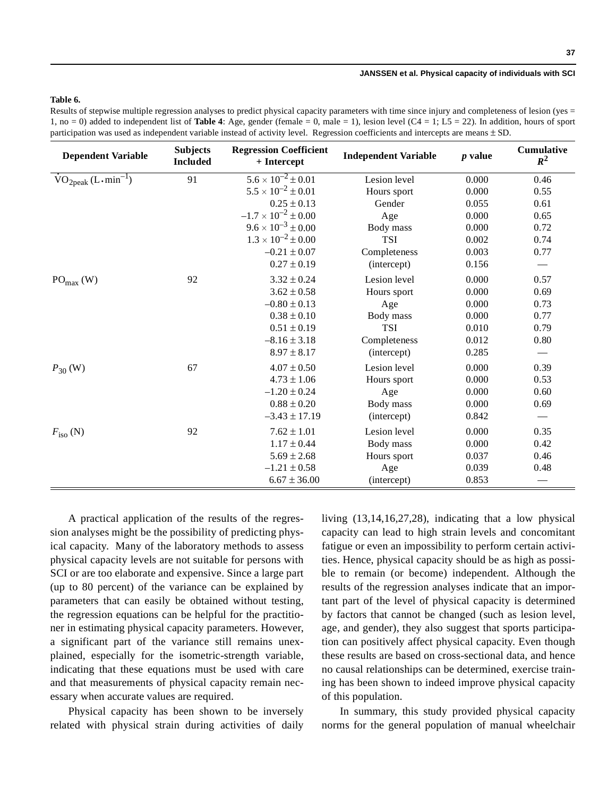## **Table 6.**

Results of stepwise multiple regression analyses to predict physical capacity parameters with time since injury and completeness of lesion (yes = 1, no = 0) added to independent list of **Table 4**: Age, gender (female = 0, male = 1), lesion level  $(C4 = 1; L5 = 22)$ . In addition, hours of sport participation was used as independent variable instead of activity level. Regression coefficients and intercepts are means  $\pm$  SD.

| <b>Dependent Variable</b>                                 | <b>Subjects</b><br><b>Included</b> | <b>Regression Coefficient</b><br>+ Intercept | <b>Independent Variable</b> | $p$ value | <b>Cumulative</b><br>$R^2$    |
|-----------------------------------------------------------|------------------------------------|----------------------------------------------|-----------------------------|-----------|-------------------------------|
| $\text{VO}_{2\text{peak}}$ (L $\cdot$ min <sup>-1</sup> ) | 91                                 | $5.6 \times 10^{-2} \pm 0.01$                | Lesion level                | 0.000     | 0.46                          |
|                                                           |                                    | $5.5 \times 10^{-2} \pm 0.01$                | Hours sport                 | 0.000     | 0.55                          |
|                                                           |                                    | $0.25 \pm 0.13$                              | Gender                      | 0.055     | 0.61                          |
|                                                           |                                    | $-1.7 \times 10^{-2} \pm 0.00$               | Age                         | 0.000     | 0.65                          |
|                                                           |                                    | $9.6 \times 10^{-3} \pm 0.00$                | Body mass                   | 0.000     | 0.72                          |
|                                                           |                                    | $1.3 \times 10^{-2} \pm 0.00$                | <b>TSI</b>                  | 0.002     | 0.74                          |
|                                                           |                                    | $-0.21 \pm 0.07$                             | Completeness                | 0.003     | 0.77                          |
|                                                           |                                    | $0.27 \pm 0.19$                              | (intercept)                 | 0.156     | $\overbrace{\phantom{13333}}$ |
| $PO_{max}$ (W)                                            | 92                                 | $3.32 \pm 0.24$                              | Lesion level                | 0.000     | 0.57                          |
|                                                           |                                    | $3.62 \pm 0.58$                              | Hours sport                 | 0.000     | 0.69                          |
|                                                           |                                    | $-0.80 \pm 0.13$                             | Age                         | 0.000     | 0.73                          |
|                                                           |                                    | $0.38 \pm 0.10$                              | Body mass                   | 0.000     | 0.77                          |
|                                                           |                                    | $0.51 \pm 0.19$                              | <b>TSI</b>                  | 0.010     | 0.79                          |
|                                                           |                                    | $-8.16 \pm 3.18$                             | Completeness                | 0.012     | 0.80                          |
|                                                           |                                    | $8.97 \pm 8.17$                              | (intercept)                 | 0.285     |                               |
| $P_{30}$ (W)                                              | 67                                 | $4.07 \pm 0.50$                              | Lesion level                | 0.000     | 0.39                          |
|                                                           |                                    | $4.73 \pm 1.06$                              | Hours sport                 | 0.000     | 0.53                          |
|                                                           |                                    | $-1.20 \pm 0.24$                             | Age                         | 0.000     | 0.60                          |
|                                                           |                                    | $0.88 \pm 0.20$                              | Body mass                   | 0.000     | 0.69                          |
|                                                           |                                    | $-3.43 \pm 17.19$                            | (intercept)                 | 0.842     |                               |
| $F_{\rm iso}$ (N)                                         | 92                                 | $7.62 \pm 1.01$                              | Lesion level                | 0.000     | 0.35                          |
|                                                           |                                    | $1.17 \pm 0.44$                              | Body mass                   | 0.000     | 0.42                          |
|                                                           |                                    | $5.69 \pm 2.68$                              | Hours sport                 | 0.037     | 0.46                          |
|                                                           |                                    | $-1.21 \pm 0.58$                             | Age                         | 0.039     | 0.48                          |
|                                                           |                                    | $6.67 \pm 36.00$                             | (intercept)                 | 0.853     |                               |

A practical application of the results of the regression analyses might be the possibility of predicting physical capacity. Many of the laboratory methods to assess physical capacity levels are not suitable for persons with SCI or are too elaborate and expensive. Since a large part (up to 80 percent) of the variance can be explained by parameters that can easily be obtained without testing, the regression equations can be helpful for the practitioner in estimating physical capacity parameters. However, a significant part of the variance still remains unexplained, especially for the isometric-strength variable, indicating that these equations must be used with care and that measurements of physical capacity remain necessary when accurate values are required.

Physical capacity has been shown to be inversely related with physical strain during activities of daily living (13,14,16,27,28), indicating that a low physical capacity can lead to high strain levels and concomitant fatigue or even an impossibility to perform certain activities. Hence, physical capacity should be as high as possible to remain (or become) independent. Although the results of the regression analyses indicate that an important part of the level of physical capacity is determined by factors that cannot be changed (such as lesion level, age, and gender), they also suggest that sports participation can positively affect physical capacity. Even though these results are based on cross-sectional data, and hence no causal relationships can be determined, exercise training has been shown to indeed improve physical capacity of this population.

In summary, this study provided physical capacity norms for the general population of manual wheelchair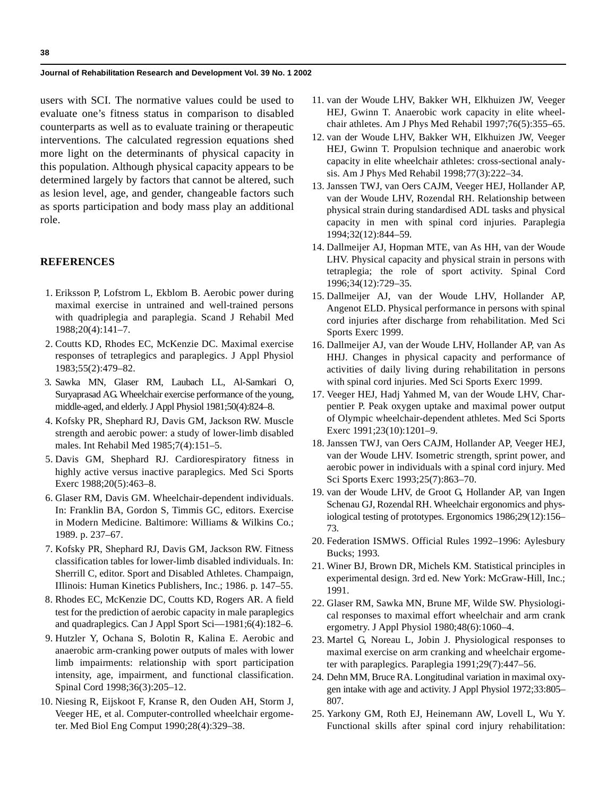users with SCI. The normative values could be used to evaluate one's fitness status in comparison to disabled counterparts as well as to evaluate training or therapeutic interventions. The calculated regression equations shed more light on the determinants of physical capacity in this population. Although physical capacity appears to be determined largely by factors that cannot be altered, such as lesion level, age, and gender, changeable factors such as sports participation and body mass play an additional role.

## **REFERENCES**

- 1. Eriksson P, Lofstrom L, Ekblom B. Aerobic power during maximal exercise in untrained and well-trained persons with quadriplegia and paraplegia. Scand J Rehabil Med 1988;20(4):141–7.
- 2. Coutts KD, Rhodes EC, McKenzie DC. Maximal exercise responses of tetraplegics and paraplegics. J Appl Physiol 1983;55(2):479–82.
- 3. Sawka MN, Glaser RM, Laubach LL, Al-Samkari O, Suryaprasad AG. Wheelchair exercise performance of the young, middle-aged, and elderly. J Appl Physiol 1981;50(4):824–8.
- 4. Kofsky PR, Shephard RJ, Davis GM, Jackson RW. Muscle strength and aerobic power: a study of lower-limb disabled males. Int Rehabil Med 1985;7(4):151–5.
- 5. Davis GM, Shephard RJ. Cardiorespiratory fitness in highly active versus inactive paraplegics. Med Sci Sports Exerc 1988;20(5):463–8.
- 6. Glaser RM, Davis GM. Wheelchair-dependent individuals. In: Franklin BA, Gordon S, Timmis GC, editors. Exercise in Modern Medicine. Baltimore: Williams & Wilkins Co.; 1989. p. 237–67.
- 7. Kofsky PR, Shephard RJ, Davis GM, Jackson RW. Fitness classification tables for lower-limb disabled individuals. In: Sherrill C, editor. Sport and Disabled Athletes. Champaign, IIlinois: Human Kinetics Publishers, Inc.; 1986. p. 147–55.
- 8. Rhodes EC, McKenzie DC, Coutts KD, Rogers AR. A field test for the prediction of aerobic capacity in male paraplegics and quadraplegics. Can J Appl Sport Sci—1981;6(4):182–6.
- 9. Hutzler Y, Ochana S, Bolotin R, Kalina E. Aerobic and anaerobic arm-cranking power outputs of males with lower limb impairments: relationship with sport participation intensity, age, impairment, and functional classification. Spinal Cord 1998;36(3):205–12.
- 10. Niesing R, Eijskoot F, Kranse R, den Ouden AH, Storm J, Veeger HE, et al. Computer-controlled wheelchair ergometer. Med Biol Eng Comput 1990;28(4):329–38.
- 11. van der Woude LHV, Bakker WH, Elkhuizen JW, Veeger HEJ, Gwinn T. Anaerobic work capacity in elite wheelchair athletes. Am J Phys Med Rehabil 1997;76(5):355–65.
- 12. van der Woude LHV, Bakker WH, Elkhuizen JW, Veeger HEJ, Gwinn T. Propulsion technique and anaerobic work capacity in elite wheelchair athletes: cross-sectional analysis. Am J Phys Med Rehabil 1998;77(3):222–34.
- 13. Janssen TWJ, van Oers CAJM, Veeger HEJ, Hollander AP, van der Woude LHV, Rozendal RH. Relationship between physical strain during standardised ADL tasks and physical capacity in men with spinal cord injuries. Paraplegia 1994;32(12):844–59.
- 14. Dallmeijer AJ, Hopman MTE, van As HH, van der Woude LHV. Physical capacity and physical strain in persons with tetraplegia; the role of sport activity. Spinal Cord 1996;34(12):729–35.
- 15. Dallmeijer AJ, van der Woude LHV, Hollander AP, Angenot ELD. Physical performance in persons with spinal cord injuries after discharge from rehabilitation. Med Sci Sports Exerc 1999.
- 16. Dallmeijer AJ, van der Woude LHV, Hollander AP, van As HHJ. Changes in physical capacity and performance of activities of daily living during rehabilitation in persons with spinal cord injuries. Med Sci Sports Exerc 1999.
- 17. Veeger HEJ, Hadj Yahmed M, van der Woude LHV, Charpentier P. Peak oxygen uptake and maximal power output of Olympic wheelchair-dependent athletes. Med Sci Sports Exerc 1991;23(10):1201–9.
- 18. Janssen TWJ, van Oers CAJM, Hollander AP, Veeger HEJ, van der Woude LHV. Isometric strength, sprint power, and aerobic power in individuals with a spinal cord injury. Med Sci Sports Exerc 1993;25(7):863–70.
- 19. van der Woude LHV, de Groot G, Hollander AP, van Ingen Schenau GJ, Rozendal RH. Wheelchair ergonomics and physiological testing of prototypes. Ergonomics 1986;29(12):156– 73.
- 20. Federation ISMWS. Official Rules 1992–1996: Aylesbury Bucks; 1993.
- 21. Winer BJ, Brown DR, Michels KM. Statistical principles in experimental design. 3rd ed. New York: McGraw-Hill, Inc.; 1991.
- 22. Glaser RM, Sawka MN, Brune MF, Wilde SW. Physiological responses to maximal effort wheelchair and arm crank ergometry. J Appl Physiol 1980;48(6):1060–4.
- 23. Martel G, Noreau L, Jobin J. Physiological responses to maximal exercise on arm cranking and wheelchair ergometer with paraplegics. Paraplegia 1991;29(7):447–56.
- 24. Dehn MM, Bruce RA. Longitudinal variation in maximal oxygen intake with age and activity. J Appl Physiol 1972;33:805– 807.
- 25. Yarkony GM, Roth EJ, Heinemann AW, Lovell L, Wu Y. Functional skills after spinal cord injury rehabilitation: